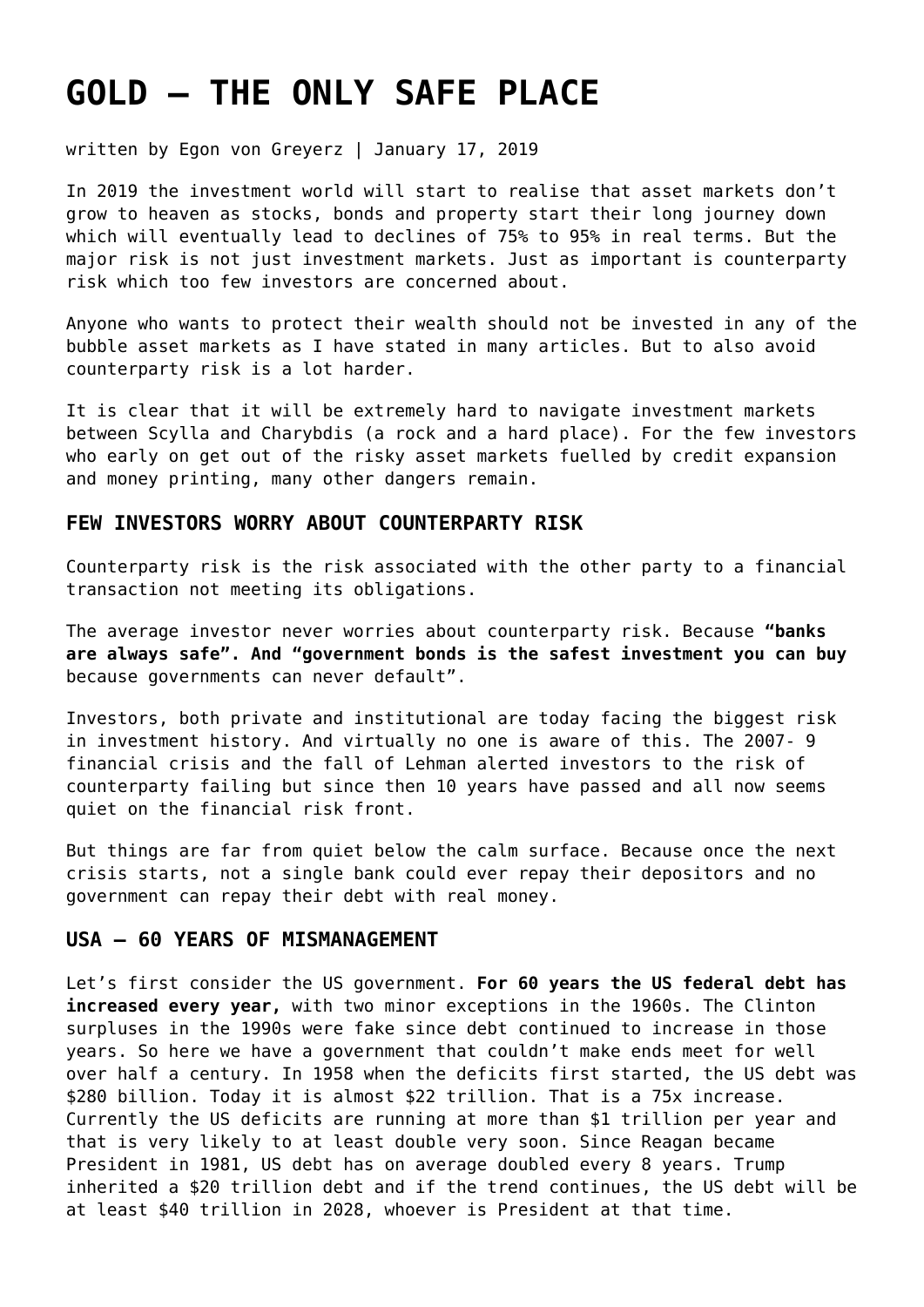# **[GOLD – THE ONLY SAFE PLACE](https://goldswitzerland.com/gold-the-only-safe-place/)**

written by Egon von Greyerz | January 17, 2019

In 2019 the investment world will start to realise that asset markets don't grow to heaven as stocks, bonds and property start their long journey down which will eventually lead to declines of 75% to 95% in real terms. But the major risk is not just investment markets. Just as important is counterparty risk which too few investors are concerned about.

Anyone who wants to protect their wealth should not be invested in any of the bubble asset markets as I have stated in [many articles](https://goldswitzerland.com/times-a-changin-but-gold-permanent/). But to also avoid counterparty risk is a lot harder.

It is clear that it will be extremely hard to navigate investment markets between Scylla and Charybdis (a rock and a hard place). For the few investors who early on get out of the risky asset markets fuelled by credit expansion and money printing, many other dangers remain.

#### **FEW INVESTORS WORRY ABOUT COUNTERPARTY RISK**

Counterparty risk is the risk associated with the other party to a financial transaction not meeting its obligations.

The average investor never worries about counterparty risk. Because **"banks are always safe". And "government bonds is the safest investment you can buy** because governments can never default".

Investors, both private and institutional are today facing the biggest risk in investment history. And virtually no one is aware of this. The 2007- 9 financial crisis and the fall of Lehman alerted investors to the risk of counterparty failing but since then 10 years have passed and all now seems quiet on the financial risk front.

But things are far from quiet below the calm surface. Because once the next crisis starts, not a single bank could ever repay their depositors and no government can repay their debt with real money.

#### **USA – 60 YEARS OF MISMANAGEMENT**

Let's first consider the US government. **For 60 years the US federal debt has increased every year,** with two minor exceptions in the 1960s. The Clinton surpluses in the 1990s were fake since debt continued to increase in those years. So here we have a government that couldn't make ends meet for well over half a century. In 1958 when the deficits first started, the US debt was \$280 billion. Today it is almost \$22 trillion. That is a 75x increase. Currently the US deficits are running at more than \$1 trillion per year and that is very likely to at least double very soon. Since Reagan became President in 1981, US debt has on average doubled every 8 years. Trump inherited a \$20 trillion debt and if the trend continues, the US debt will be at least \$40 trillion in 2028, whoever is President at that time.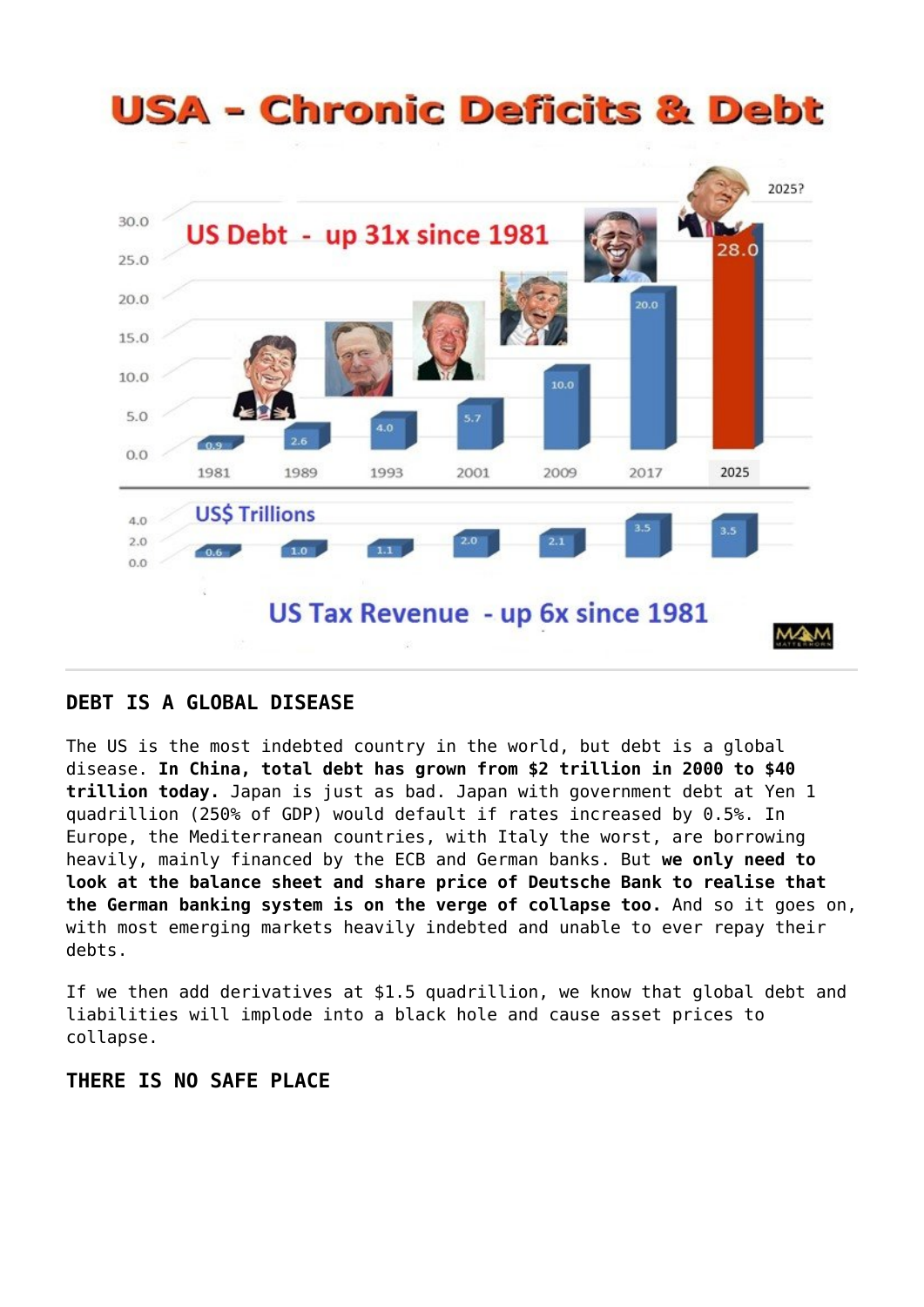# **USA - Chronic Deficits & Debt**



#### **DEBT IS A GLOBAL DISEASE**

The US is the most indebted country in the world, but debt is a global disease. **In China, total debt has grown from \$2 trillion in 2000 to \$40 trillion today.** Japan is just as bad. Japan with government debt at Yen 1 quadrillion (250% of GDP) would default if rates increased by 0.5%. In Europe, the Mediterranean countries, with Italy the worst, are borrowing heavily, mainly financed by the ECB and German banks. But **we only need to look at the balance sheet and share price of Deutsche Bank to realise that the German banking system is on the verge of collapse too.** And so it goes on, with most emerging markets heavily indebted and unable to ever repay their debts.

If we then add derivatives at \$1.5 quadrillion, we know that global debt and liabilities will implode into a black hole and cause asset prices to collapse.

# **THERE IS NO SAFE PLACE**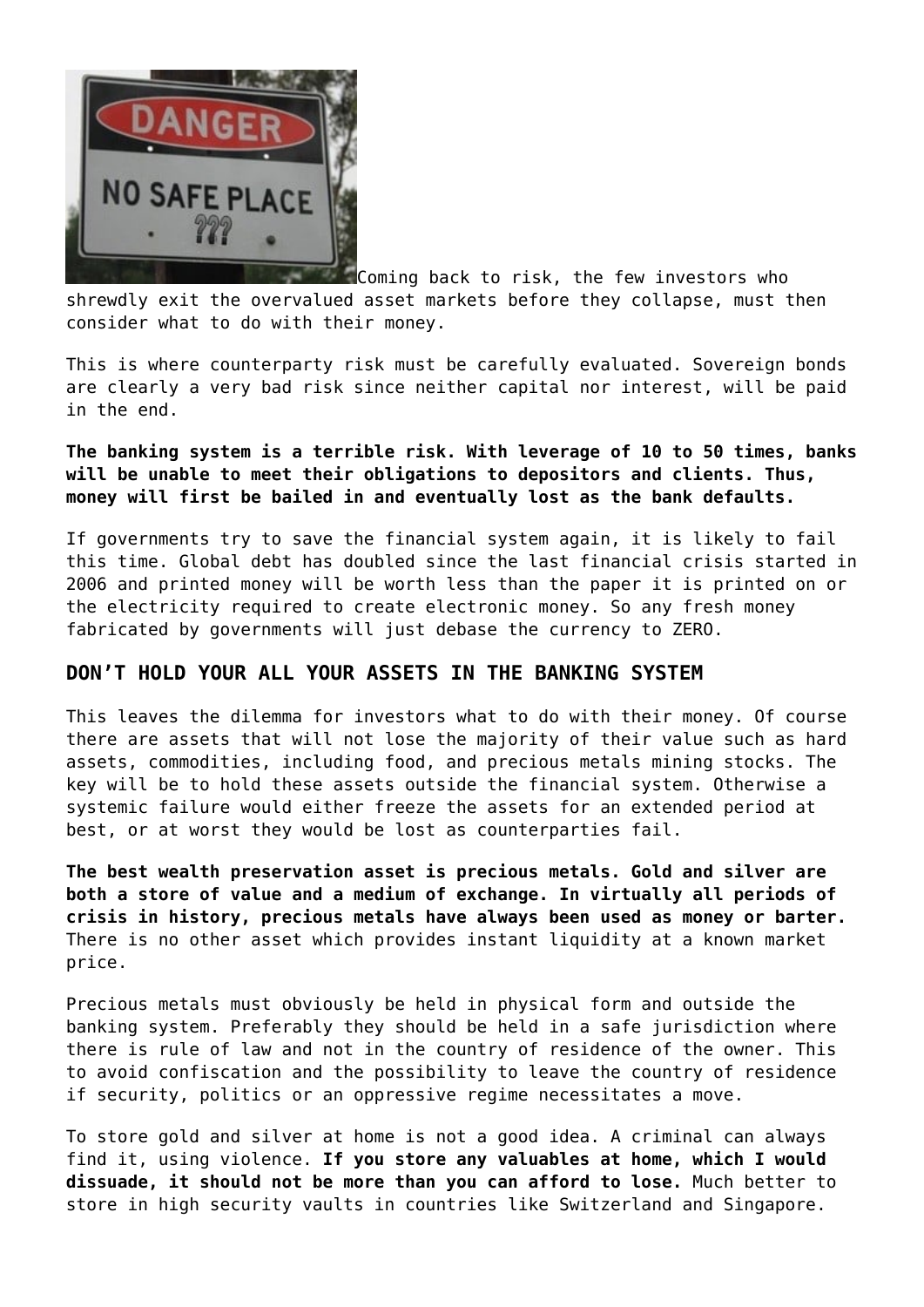

Coming back to risk, the few investors who shrewdly exit the overvalued asset markets before they collapse, must then consider what to do with their money.

This is where counterparty risk must be carefully evaluated. Sovereign bonds are clearly a very bad risk since neither capital nor interest, will be paid in the end.

### **The banking system is a terrible risk. With leverage of 10 to 50 times, banks will be unable to meet their obligations to depositors and clients. Thus, money will first be bailed in and eventually lost as the bank defaults.**

If governments try to save the financial system again, it is likely to fail this time. Global debt has doubled since the last financial crisis started in 2006 and printed money will be worth less than the paper it is printed on or the electricity required to create electronic money. So any fresh money fabricated by governments will just debase the currency to ZERO.

# **DON'T HOLD YOUR ALL YOUR ASSETS IN THE BANKING SYSTEM**

This leaves the dilemma for investors what to do with their money. Of course there are assets that will not lose the majority of their value such as hard assets, commodities, including food, and precious metals mining stocks. The key will be to hold these assets outside the financial system. Otherwise a systemic failure would either freeze the assets for an extended period at best, or at worst they would be lost as counterparties fail.

**The best wealth preservation asset is precious metals. Gold and silver are both a store of value and a medium of exchange. In virtually all periods of crisis in history, precious metals have always been used as money or barter.** There is no other asset which provides instant liquidity at a known market price.

Precious metals must obviously be held in physical form and outside the banking system. Preferably they should be held in a safe jurisdiction where there is rule of law and not in the country of residence of the owner. This to avoid confiscation and the possibility to leave the country of residence if security, politics or an oppressive regime necessitates a move.

To store gold and silver at home is not a good idea. A criminal can always find it, using violence. **If you store any valuables at home, which I would dissuade, it should not be more than you can afford to lose.** Much better to store in high security vaults in countries like Switzerland and Singapore.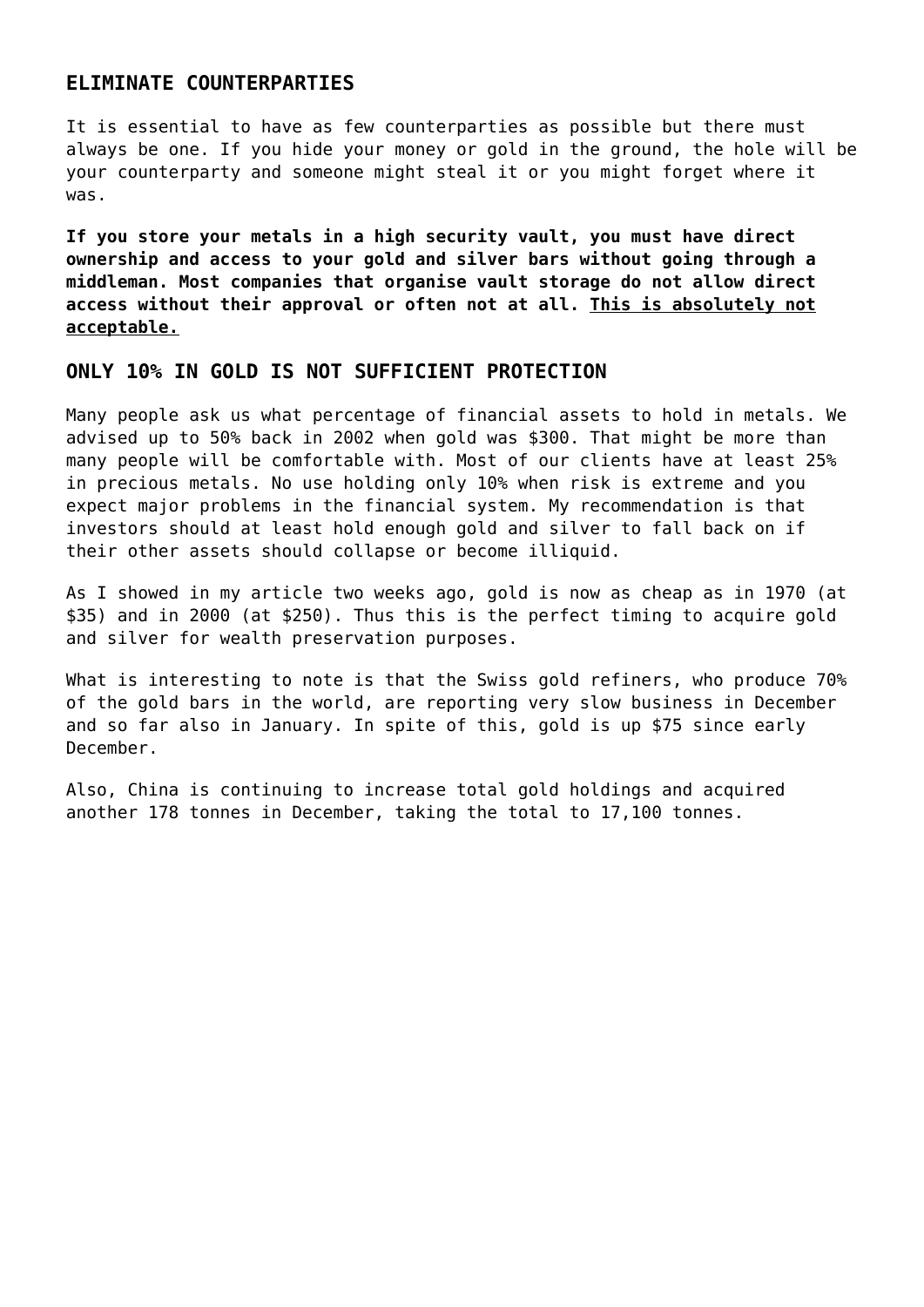### **ELIMINATE COUNTERPARTIES**

It is essential to have as few counterparties as possible but there must always be one. If you hide your money or gold in the ground, the hole will be your counterparty and someone might steal it or you might forget where it was.

**If you store your metals in a high security vault, you must have direct ownership and access to your gold and silver bars without going through a middleman. Most companies that organise vault storage do not allow direct access without their approval or often not at all. This is absolutely not acceptable.**

#### **ONLY 10% IN GOLD IS NOT SUFFICIENT PROTECTION**

Many people ask us what percentage of financial assets to hold in metals. We advised up to 50% back in 2002 when gold was \$300. That might be more than many people will be comfortable with. Most of our clients have at least 25% in precious metals. No use holding only 10% when risk is extreme and you expect major problems in the financial system. My recommendation is that investors should at least hold enough gold and silver to fall back on if their other assets should collapse or become illiquid.

As I showed in my article [two weeks ago,](https://goldswitzerland.com/real-gold-price-lowest-in-50-years/) gold is now as cheap as in 1970 (at \$35) and in 2000 (at \$250). Thus this is the perfect timing to acquire gold and silver for wealth preservation purposes.

What is interesting to note is that the Swiss gold refiners, who produce 70% of the gold bars in the world, are reporting very slow business in December and so far also in January. In spite of this, gold is up \$75 since early December.

Also, China is continuing to increase total gold holdings and acquired another 178 tonnes in December, taking the total to 17,100 tonnes.